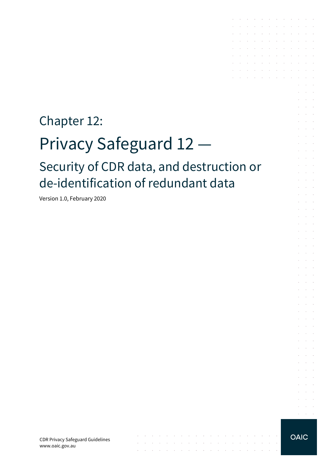# Chapter 12: Privacy Safeguard 12 — Security of CDR data, and destruction or de-identification of redundant data

 $\mathcal{L}_\mathcal{A}$  , where  $\mathcal{L}_\mathcal{A}$  is a subset of the set of the set of the set of  $\mathcal{L}_\mathcal{A}$ 

والمتواصل والمتناوب والمتواطن والمتناوب والمتناوب والمتناوب والمتناوب والمتناوب the contract of the contract of the contract of the

 $\sim 10$ 

Version 1.0, February 2020

CDR Privacy Safeguard Guidelines www.oaic.gov.au



the contract of the contract of the contract of and the contract of the contract of the contract of and a series of the contract of the contract of the contract of the contract of the the contract of the contract of the contract of and a series of the contract of the contract of  $\mathcal{A}$  . The second contribution of the second contribution of  $\mathcal{A}$  $\mathcal{L}^{\mathcal{A}}$  . The contribution of the contribution of the contribution of  $\mathcal{L}^{\mathcal{A}}$ and the contract of the contract of

and a state

 $\alpha$  ,  $\beta$  ,  $\alpha$  $\Delta \sim 100$ 

 $\sim$ 

 $\mathcal{L}^{\mathcal{L}}$  $\mathcal{L}^{\text{max}}$ 

 $\sim$  $\sim 10^{-1}$  .  $\sim 10^{-11}$  .

 $\mathcal{L}^{\mathcal{L}}$  $\mathcal{L}^{\text{max}}$ and the control

and the control and a state  $\mathcal{L}_{\rm{c}}$ and a state **Service State** 

**Service** State and the control

**Service** State and a state

and the con-**Service** State

and the control

 $\alpha = 1, \ldots, n$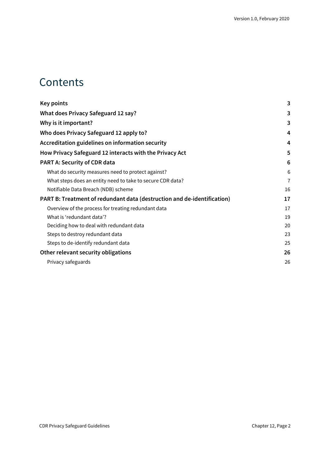## **Contents**

| <b>Key points</b>                                                       | 3              |
|-------------------------------------------------------------------------|----------------|
| What does Privacy Safeguard 12 say?                                     | 3              |
| Why is it important?                                                    | 3              |
| Who does Privacy Safeguard 12 apply to?                                 | 4              |
| Accreditation guidelines on information security                        | 4              |
| How Privacy Safeguard 12 interacts with the Privacy Act                 | 5              |
| <b>PART A: Security of CDR data</b>                                     | 6              |
| What do security measures need to protect against?                      | 6              |
| What steps does an entity need to take to secure CDR data?              | $\overline{7}$ |
| Notifiable Data Breach (NDB) scheme                                     | 16             |
| PART B: Treatment of redundant data (destruction and de-identification) | 17             |
| Overview of the process for treating redundant data                     | 17             |
| What is 'redundant data'?                                               | 19             |
| Deciding how to deal with redundant data                                | 20             |
| Steps to destroy redundant data                                         | 23             |
| Steps to de-identify redundant data                                     | 25             |
| Other relevant security obligations                                     | 26             |
| Privacy safeguards                                                      | 26             |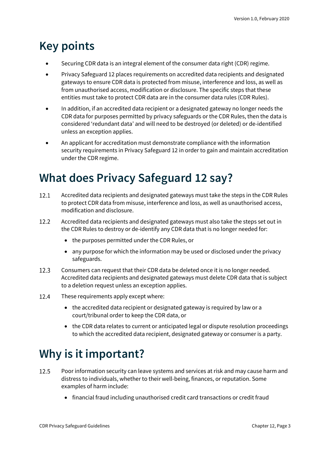## <span id="page-2-0"></span>**Key points**

- Securing CDR data is an integral element of the consumer data right (CDR) regime.
- Privacy Safeguard 12 places requirements on accredited data recipients and designated gateways to ensure CDR data is protected from misuse, interference and loss, as well as from unauthorised access, modification or disclosure. The specific steps that these entities must take to protect CDR data are in the consumer data rules (CDR Rules).
- In addition, if an accredited data recipient or a designated gateway no longer needs the CDR data for purposes permitted by privacy safeguards or the CDR Rules, then the data is considered 'redundant data' and will need to be destroyed (or deleted) or de-identified unless an exception applies.
- An applicant for accreditation must demonstrate compliance with the information security requirements in Privacy Safeguard 12 in order to gain and maintain accreditation under the CDR regime.

## <span id="page-2-1"></span>**What does Privacy Safeguard 12 say?**

- $12.1$ Accredited data recipients and designated gateways must take the steps in the CDR Rules to protect CDR data from misuse, interference and loss, as well as unauthorised access, modification and disclosure.
- 12.2 Accredited data recipients and designated gateways must also take the steps set out in the CDR Rules to destroy or de-identify any CDR data that is no longer needed for:
	- the purposes permitted under the CDR Rules, or
	- any purpose for which the information may be used or disclosed under the privacy safeguards.
- Consumers can request that their CDR data be deleted once it is no longer needed. 12.3 Accredited data recipients and designated gateways must delete CDR data that is subject to a deletion request unless an exception applies.
- 12.4 These requirements apply except where:
	- the accredited data recipient or designated gateway is required by law or a court/tribunal order to keep the CDR data, or
	- the CDR data relates to current or anticipated legal or dispute resolution proceedings to which the accredited data recipient, designated gateway or consumer is a party.

## <span id="page-2-2"></span>**Why is it important?**

- 12.5 Poor information security can leave systems and services at risk and may cause harm and distress to individuals, whether to their well-being, finances, or reputation. Some examples of harm include:
	- financial fraud including unauthorised credit card transactions or credit fraud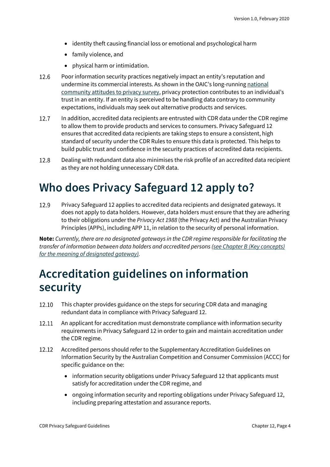- identity theft causing financial loss or emotional and psychological harm
- family violence, and
- physical harm or intimidation.
- $12.6$ Poor information security practices negatively impact an entity's reputation and undermine its commercial interests. As shown in the OAIC's long-runnin[g national](https://www.oaic.gov.au/engage-with-us/community-attitudes/)  [community attitudes to privacy survey,](https://www.oaic.gov.au/engage-with-us/community-attitudes/) privacy protection contributes to an individual's trust in an entity. If an entity is perceived to be handling data contrary to community expectations, individuals may seek out alternative products and services.
- 12.7 In addition, accredited data recipients are entrusted with CDR data under the CDR regime to allow them to provide products and services to consumers. Privacy Safeguard 12 ensures that accredited data recipients are taking steps to ensure a consistent, high standard of security under the CDR Rules to ensure this data is protected. This helps to build public trust and confidence in the security practices of accredited data recipients.
- 12.8 Dealing with redundant data also minimises the risk profile of an accredited data recipient as they are not holding unnecessary CDR data.

## <span id="page-3-0"></span>**Who does Privacy Safeguard 12 apply to?**

12.9 Privacy Safeguard 12 applies to accredited data recipients and designated gateways. It does not apply to data holders. However, data holders must ensure that they are adhering to their obligations under the *Privacy Act 1988* (the Privacy Act) and the Australian Privacy Principles (APPs), including APP 11, in relation to the security of personal information.

**Note:** *Currently, there are no designated gateways in the CDR regime responsible for facilitating the transfer of information between data holders and accredited persons [\(see Chapter B \(Key concepts\)](https://www.oaic.gov.au/consumer-data-right/cdr-privacy-safeguard-guidelines/chapter-b-key-concepts)  [for the meaning of designated gateway\).](https://www.oaic.gov.au/consumer-data-right/cdr-privacy-safeguard-guidelines/chapter-b-key-concepts)*

## <span id="page-3-1"></span>**Accreditation guidelines on information security**

- 12.10 This chapter provides guidance on the steps for securing CDR data and managing redundant data in compliance with Privacy Safeguard 12.
- 12.11 An applicant for accreditation must demonstrate compliance with information security requirements in Privacy Safeguard 12 in order to gain and maintain accreditation under the CDR regime.
- 12.12 Accredited persons should refer to the Supplementary Accreditation Guidelines on Information Security by the Australian Competition and Consumer Commission (ACCC) for specific guidance on the:
	- information security obligations under Privacy Safeguard 12 that applicants must satisfy for accreditation under the CDR regime, and
	- ongoing information security and reporting obligations under Privacy Safeguard 12, including preparing attestation and assurance reports.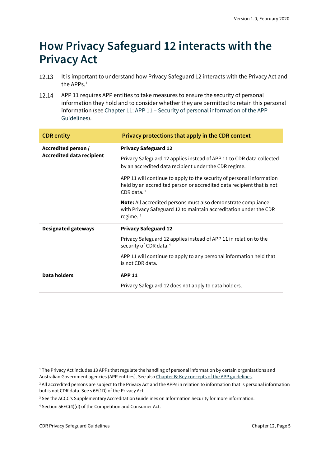## <span id="page-4-0"></span>**How Privacy Safeguard 12 interacts with the Privacy Act**

- 12.13 It is important to understand how Privacy Safeguard 12 interacts with the Privacy Act and the APPs.<sup>[1](#page-4-1)</sup>
- 12.14 APP 11 requires APP entities to take measures to ensure the security of personal information they hold and to consider whether they are permitted to retain this personal information (see Chapter 11: APP 11 – [Security of personal information of the](https://www.oaic.gov.au/privacy/australian-privacy-principles-guidelines/chapter-11-app-11-security-of-personal-information/) APP [Guidelines\)](https://www.oaic.gov.au/privacy/australian-privacy-principles-guidelines/chapter-11-app-11-security-of-personal-information/).

| <b>CDR</b> entity                                       | Privacy protections that apply in the CDR context                                                                                                               |
|---------------------------------------------------------|-----------------------------------------------------------------------------------------------------------------------------------------------------------------|
| Accredited person /<br><b>Accredited data recipient</b> | <b>Privacy Safeguard 12</b>                                                                                                                                     |
|                                                         | Privacy Safeguard 12 applies instead of APP 11 to CDR data collected<br>by an accredited data recipient under the CDR regime.                                   |
|                                                         | APP 11 will continue to apply to the security of personal information<br>held by an accredited person or accredited data recipient that is not<br>CDR data. $2$ |
|                                                         | <b>Note:</b> All accredited persons must also demonstrate compliance<br>with Privacy Safeguard 12 to maintain accreditation under the CDR<br>regime. $3$        |
| <b>Designated gateways</b>                              | <b>Privacy Safeguard 12</b>                                                                                                                                     |
|                                                         | Privacy Safeguard 12 applies instead of APP 11 in relation to the<br>security of CDR data. <sup>4</sup>                                                         |
|                                                         | APP 11 will continue to apply to any personal information held that<br>is not CDR data.                                                                         |
| Data holders                                            | <b>APP 11</b>                                                                                                                                                   |
|                                                         | Privacy Safeguard 12 does not apply to data holders.                                                                                                            |

<span id="page-4-1"></span><sup>&</sup>lt;sup>1</sup> The Privacy Act includes 13 APPs that regulate the handling of personal information by certain organisations and Australian Government agencies (APP entities). See als[o Chapter B: Key concepts of the APP guidelines.](https://www.oaic.gov.au/privacy/australian-privacy-principles-guidelines/chapter-b-key-concepts/)

<span id="page-4-2"></span><sup>&</sup>lt;sup>2</sup> All accredited persons are subject to the Privacy Act and the APPs in relation to information that is personal information but is not CDR data. See s 6E(1D) of the Privacy Act.

<span id="page-4-3"></span><sup>&</sup>lt;sup>3</sup> See the ACCC's Supplementary Accreditation Guidelines on Information Security for more information.

<span id="page-4-4"></span><sup>4</sup> Section 56EC(4)(d) of the Competition and Consumer Act.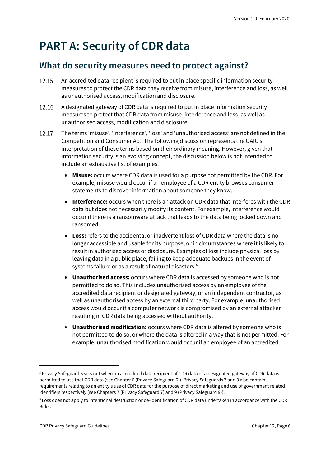## <span id="page-5-0"></span>**PART A: Security of CDR data**

### <span id="page-5-1"></span>**What do security measures need to protect against?**

- 12.15 An accredited data recipient is required to put in place specific information security measures to protect the CDR data they receive from misuse, interference and loss, as well as unauthorised access, modification and disclosure.
- 12.16 A designated gateway of CDR data is required to put in place information security measures to protect that CDR data from misuse, interference and loss, as well as unauthorised access, modification and disclosure.
- 12.17 The terms 'misuse', 'interference', 'loss' and 'unauthorised access' are not defined in the Competition and Consumer Act. The following discussion represents the OAIC's interpretation of these terms based on their ordinary meaning. However, given that information security is an evolving concept, the discussion below is not intended to include an exhaustive list of examples.
	- **Misuse:** occurs where CDR data is used for a purpose not permitted by the CDR. For example, misuse would occur if an employee of a CDR entity browses consumer statements to discover information about someone they know. [5](#page-5-2)
	- **Interference:** occurs when there is an attack on CDR data that interferes with the CDR data but does not necessarily modify its content. For example, interference would occur if there is a ransomware attack that leads to the data being locked down and ransomed.
	- **Loss:** refers to the accidental or inadvertent loss of CDR data where the data is no longer accessible and usable for its purpose, or in circumstances where it is likely to result in authorised access or disclosure. Examples of loss include physical loss by leaving data in a public place, failing to keep adequate backups in the event of systems failure or as a result of natural disasters.<sup>[6](#page-5-3)</sup>
	- **Unauthorised access:** occurs where CDR data is accessed by someone who is not permitted to do so. This includes unauthorised access by an employee of the accredited data recipient or designated gateway, or an independent contractor, as well as unauthorised access by an external third party. For example, unauthorised access would occur if a computer network is compromised by an external attacker resulting in CDR data being accessed without authority.
	- **Unauthorised modification:** occurs where CDR data is altered by someone who is not permitted to do so, or where the data is altered in a way that is not permitted. For example, unauthorised modification would occur if an employee of an accredited

<span id="page-5-2"></span><sup>5</sup> Privacy Safeguard 6 sets out when an accredited data recipient of CDR data or a designated gateway of CDR data is permitted to use that CDR data (see Chapter 6 (Privacy Safeguard 6)). Privacy Safeguards 7 and 9 also contain requirements relating to an entity's use of CDR data for the purpose of direct marketing and use of government related identifiers respectively (see Chapters 7 (Privacy Safeguard 7) and 9 (Privacy Safeguard 9)).

<span id="page-5-3"></span><sup>6</sup> Loss does not apply to intentional destruction or de-identification of CDR data undertaken in accordance with the CDR Rules.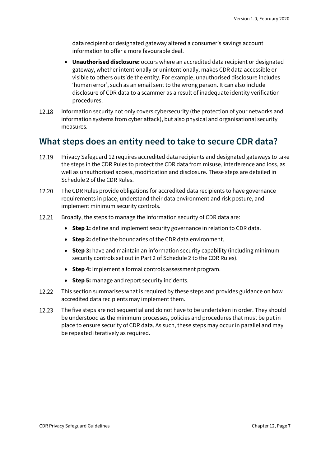data recipient or designated gateway altered a consumer's savings account information to offer a more favourable deal.

- **Unauthorised disclosure:** occurs where an accredited data recipient or designated gateway, whether intentionally or unintentionally, makes CDR data accessible or visible to others outside the entity. For example, unauthorised disclosure includes 'human error', such as an email sent to the wrong person. It can also include disclosure of CDR data to a scammer as a result of inadequate identity verification procedures.
- 12.18 Information security not only covers cybersecurity (the protection of your networks and information systems from cyber attack), but also physical and organisational security measures.

### <span id="page-6-0"></span>**What steps does an entity need to take to secure CDR data?**

- 12.19 Privacy Safeguard 12 requires accredited data recipients and designated gateways to take the steps in the CDR Rules to protect the CDR data from misuse, interference and loss, as well as unauthorised access, modification and disclosure. These steps are detailed in Schedule 2 of the CDR Rules.
- 12.20 The CDR Rules provide obligations for accredited data recipients to have governance requirements in place, understand their data environment and risk posture, and implement minimum security controls.
- 12.21 Broadly, the steps to manage the information security of CDR data are:
	- **Step 1:** define and implement security governance in relation to CDR data.
	- **Step 2:** define the boundaries of the CDR data environment.
	- **Step 3:** have and maintain an information security capability (including minimum security controls set out in Part 2 of Schedule 2 to the CDR Rules).
	- **Step 4:** implement a formal controls assessment program.
	- **Step 5:** manage and report security incidents.
- 12.22 This section summarises what is required by these steps and provides guidance on how accredited data recipients may implement them.
- 12.23 The five steps are not sequential and do not have to be undertaken in order. They should be understood as the minimum processes, policies and procedures that must be put in place to ensure security of CDR data. As such, these steps may occur in parallel and may be repeated iteratively as required.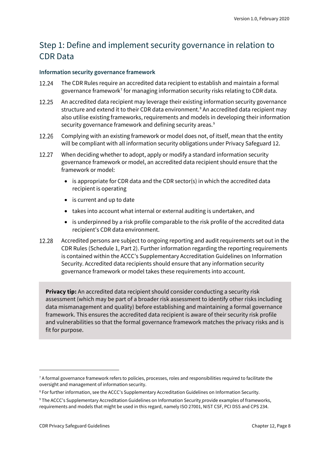### Step 1: Define and implement security governance in relation to CDR Data

#### **Information security governance framework**

- The CDR Rules require an accredited data recipient to establish and maintain a formal 12.24 governance framework<sup>[7](#page-7-0)</sup> for managing information security risks relating to CDR data.
- 12.25 An accredited data recipient may leverage their existing information security governance structure and extend it to their CDR data environment.<sup>[8](#page-7-1)</sup> An accredited data recipient may also utilise existing frameworks, requirements and models in developing their information security governance framework and defining security areas.<sup>[9](#page-7-2)</sup>
- 12.26 Complying with an existing framework or model does not, of itself, mean that the entity will be compliant with all information security obligations under Privacy Safeguard 12.
- 12.27 When deciding whether to adopt, apply or modify a standard information security governance framework or model, an accredited data recipient should ensure that the framework or model:
	- is appropriate for CDR data and the CDR sector(s) in which the accredited data recipient is operating
	- is current and up to date
	- takes into account what internal or external auditing is undertaken, and
	- is underpinned by a risk profile comparable to the risk profile of the accredited data recipient's CDR data environment.
- 12.28 Accredited persons are subject to ongoing reporting and audit requirements set out in the CDR Rules (Schedule 1, Part 2). Further information regarding the reporting requirements is contained within the ACCC's Supplementary Accreditation Guidelines on Information Security. Accredited data recipients should ensure that any information security governance framework or model takes these requirements into account.

**Privacy tip:** An accredited data recipient should consider conducting a security risk assessment (which may be part of a broader risk assessment to identify other risks including data mismanagement and quality) before establishing and maintaining a formal governance framework. This ensures the accredited data recipient is aware of their security risk profile and vulnerabilities so that the formal governance framework matches the privacy risks and is fit for purpose.

<span id="page-7-0"></span><sup>&</sup>lt;sup>7</sup> A formal governance framework refers to policies, processes, roles and responsibilities required to facilitate the oversight and management of information security.

<span id="page-7-1"></span><sup>8</sup> For further information, see the ACCC's Supplementary Accreditation Guidelines on Information Security.

<span id="page-7-2"></span><sup>9</sup> The ACCC's Supplementary Accreditation Guidelines on Information Security provide examples of frameworks, requirements and models that might be used in this regard, namely ISO 27001, NIST CSF, PCI DSS and CPS 234.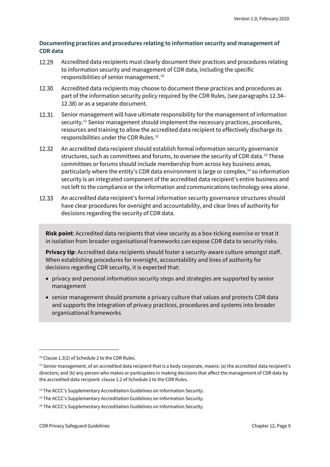#### **Documenting practices and procedures relating to information security and management of CDR data**

- 12.29 Accredited data recipients must clearly document their practices and procedures relating to information security and management of CDR data, including the specific responsibilities of senior management.[10](#page-8-0)
- 12.30 Accredited data recipients may choose to document these practices and procedures as part of the information security policy required by the CDR Rules, (see paragraphs 12.34– 12.38) or as a separate document.
- 12.31 Senior management will have ultimate responsibility for the management of information security.[11](#page-8-1) Senior management should implement the necessary practices, procedures, resources and training to allow the accredited data recipient to effectively discharge its responsibilities under the CDR Rules.[12](#page-8-2)
- An accredited data recipient should establish formal information security governance 12.32 structures, such as committees and forums, to oversee the security of CDR data.<sup>[13](#page-8-3)</sup> These committees or forums should include membership from across key business areas, particularly where the entity's CDR data environment is large or complex, $14$  so information security is an integrated component of the accredited data recipient's entire business and not left to the compliance or the information and communications technology area alone.
- 12.33 An accredited data recipient's formal information security governance structures should have clear procedures for oversight and accountability, and clear lines of authority for decisions regarding the security of CDR data.

**Risk point**: Accredited data recipients that view security as a box-ticking exercise or treat it in isolation from broader organisational frameworks can expose CDR data to security risks.

**Privacy tip**: Accredited data recipients should foster a security-aware culture amongst staff. When establishing procedures for oversight, accountability and lines of authority for decisions regarding CDR security, it is expected that:

- privacy and personal information security steps and strategies are supported by senior management
- senior management should promote a privacy culture that values and protects CDR data and supports the integration of privacy practices, procedures and systems into broader organisational frameworks

<span id="page-8-0"></span><sup>&</sup>lt;sup>10</sup> Clause 1.3(2) of Schedule 2 to the CDR Rules.

<span id="page-8-1"></span> $11$  Senior management, of an accredited data recipient that is a body corporate, means: (a) the accredited data recipient's directors; and (b) any person who makes or participates in making decisions that affect the management of CDR data by the accredited data recipient: clause 1.2 of Schedule 2 to the CDR Rules.

<span id="page-8-2"></span><sup>&</sup>lt;sup>12</sup> The ACCC's Supplementary Accreditation Guidelines on Information Security.

<span id="page-8-3"></span><sup>&</sup>lt;sup>13</sup> The ACCC's Supplementary Accreditation Guidelines on Information Security.

<span id="page-8-4"></span><sup>&</sup>lt;sup>14</sup> The ACCC's Supplementary Accreditation Guidelines on Information Security.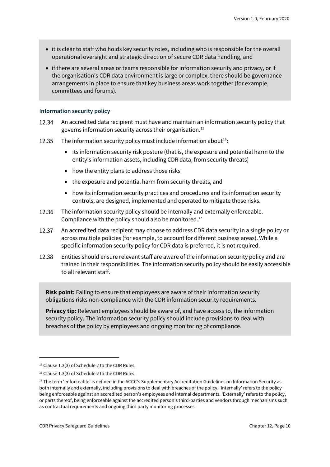- it is clear to staff who holds key security roles, including who is responsible for the overall operational oversight and strategic direction of secure CDR data handling, and
- if there are several areas or teams responsible for information security and privacy, or if the organisation's CDR data environment is large or complex, there should be governance arrangements in place to ensure that key business areas work together (for example, committees and forums).

#### **Information security policy**

- 12.34 An accredited data recipient must have and maintain an information security policy that governs information security across their organisation.[15](#page-9-0)
- 12.35 The information security policy must include information about<sup>16</sup>:
	- its information security risk posture (that is, the exposure and potential harm to the entity's information assets, including CDR data, from security threats)
	- how the entity plans to address those risks
	- the exposure and potential harm from security threats, and
	- how its information security practices and procedures and its information security controls, are designed, implemented and operated to mitigate those risks.
- 12.36 The information security policy should be internally and externally enforceable. Compliance with the policy should also be monitored.[17](#page-9-2)
- 12.37 An accredited data recipient may choose to address CDR data security in a single policy or across multiple policies (for example, to account for different business areas). While a specific information security policy for CDR data is preferred, it is not required.
- 12.38 Entities should ensure relevant staff are aware of the information security policy and are trained in their responsibilities. The information security policy should be easily accessible to all relevant staff.

**Risk point:** Failing to ensure that employees are aware of their information security obligations risks non-compliance with the CDR information security requirements.

**Privacy tip:** Relevant employees should be aware of, and have access to, the information security policy. The information security policy should include provisions to deal with breaches of the policy by employees and ongoing monitoring of compliance.

<span id="page-9-0"></span><sup>&</sup>lt;sup>15</sup> Clause 1.3(3) of Schedule 2 to the CDR Rules.

<span id="page-9-1"></span><sup>&</sup>lt;sup>16</sup> Clause 1.3(3) of Schedule 2 to the CDR Rules.

<span id="page-9-2"></span><sup>&</sup>lt;sup>17</sup> The term 'enforceable' is defined in the ACCC's Supplementary Accreditation Guidelines on Information Security as both internally and externally, including provisions to deal with breaches of the policy. 'Internally' refers to the policy being enforceable against an accredited person's employees and internal departments. 'Externally' refers to the policy, or parts thereof, being enforceable against the accredited person's third-parties and vendors through mechanisms such as contractual requirements and ongoing third party monitoring processes.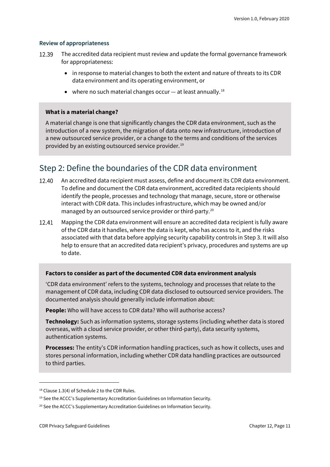#### **Review of appropriateness**

- 12.39 The accredited data recipient must review and update the formal governance framework for appropriateness:
	- in response to material changes to both the extent and nature of threats to its CDR data environment and its operating environment, or
	- where no such material changes occur  $-$  at least annually.<sup>[18](#page-10-0)</sup>

#### **What is a material change?**

A material change is one that significantly changes the CDR data environment, such as the introduction of a new system, the migration of data onto new infrastructure, introduction of a new outsourced service provider, or a change to the terms and conditions of the services provided by an existing outsourced service provider.[19](#page-10-1)

### Step 2: Define the boundaries of the CDR data environment

- 12.40 An accredited data recipient must assess, define and document its CDR data environment. To define and document the CDR data environment, accredited data recipients should identify the people, processes and technology that manage, secure, store or otherwise interact with CDR data. This includes infrastructure, which may be owned and/or managed by an outsourced service provider or third-party.[20](#page-10-2)
- 12.41 Mapping the CDR data environment will ensure an accredited data recipient is fully aware of the CDR data it handles, where the data is kept, who has access to it, and the risks associated with that data before applying security capability controls in Step 3. It will also help to ensure that an accredited data recipient's privacy, procedures and systems are up to date.

#### **Factors to consider as part of the documented CDR data environment analysis**

'CDR data environment' refers to the systems, technology and processes that relate to the management of CDR data, including CDR data disclosed to outsourced service providers. The documented analysis should generally include information about:

**People:** Who will have access to CDR data? Who will authorise access?

**Technology:** Such as information systems, storage systems (including whether data is stored overseas, with a cloud service provider, or other third-party), data security systems, authentication systems.

**Processes:** The entity's CDR information handling practices, such as how it collects, uses and stores personal information, including whether CDR data handling practices are outsourced to third parties.

<span id="page-10-0"></span><sup>18</sup> Clause 1.3(4) of Schedule 2 to the CDR Rules.

<span id="page-10-1"></span><sup>&</sup>lt;sup>19</sup> See the ACCC's Supplementary Accreditation Guidelines on Information Security.

<span id="page-10-2"></span><sup>&</sup>lt;sup>20</sup> See the ACCC's Supplementary Accreditation Guidelines on Information Security.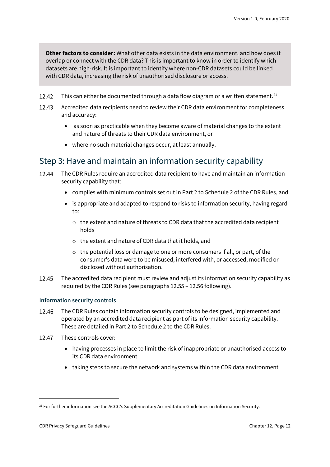**Other factors to consider:** What other data exists in the data environment, and how does it overlap or connect with the CDR data? This is important to know in order to identify which datasets are high-risk. It is important to identify where non-CDR datasets could be linked with CDR data, increasing the risk of unauthorised disclosure or access.

- 12.42 This can either be documented through a data flow diagram or a written statement. $^{21}$  $^{21}$  $^{21}$
- 12.43 Accredited data recipients need to review their CDR data environment for completeness and accuracy:
	- as soon as practicable when they become aware of material changes to the extent and nature of threats to their CDR data environment, or
	- where no such material changes occur, at least annually.

### Step 3: Have and maintain an information security capability

- 12.44 The CDR Rules require an accredited data recipient to have and maintain an information security capability that:
	- complies with minimum controls set out in Part 2 to Schedule 2 of the CDR Rules, and
	- is appropriate and adapted to respond to risks to information security, having regard to:
		- o the extent and nature of threats to CDR data that the accredited data recipient holds
		- o the extent and nature of CDR data that it holds, and
		- $\circ$  the potential loss or damage to one or more consumers if all, or part, of the consumer's data were to be misused, interfered with, or accessed, modified or disclosed without authorisation.
- 12.45 The accredited data recipient must review and adjust its information security capability as required by the CDR Rules (see paragraphs 12.55 – 12.56 following).

#### **Information security controls**

- The CDR Rules contain information security controls to be designed, implemented and 12.46 operated by an accredited data recipient as part of its information security capability. These are detailed in Part 2 to Schedule 2 to the CDR Rules.
- $12.47$ These controls cover:
	- having processes in place to limit the risk of inappropriate or unauthorised access to its CDR data environment
	- taking steps to secure the network and systems within the CDR data environment

<span id="page-11-0"></span><sup>&</sup>lt;sup>21</sup> For further information see the ACCC's Supplementary Accreditation Guidelines on Information Security.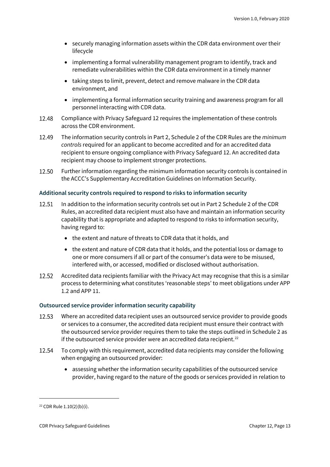- securely managing information assets within the CDR data environment over their lifecycle
- implementing a formal vulnerability management program to identify, track and remediate vulnerabilities within the CDR data environment in a timely manner
- taking steps to limit, prevent, detect and remove malware in the CDR data environment, and
- implementing a formal information security training and awareness program for all personnel interacting with CDR data.
- 12.48 Compliance with Privacy Safeguard 12 requires the implementation of these controls across the CDR environment.
- 12.49 The information security controls in Part 2, Schedule 2 of the CDR Rules are the *minimum controls* required for an applicant to become accredited and for an accredited data recipient to ensure ongoing compliance with Privacy Safeguard 12. An accredited data recipient may choose to implement stronger protections.
- 12.50 Further information regarding the minimum information security controls is contained in the ACCC's Supplementary Accreditation Guidelines on Information Security.

#### **Additional security controls required to respond to risks to information security**

- 12.51 In addition to the information security controls set out in Part 2 Schedule 2 of the CDR Rules, an accredited data recipient must also have and maintain an information security capability that is appropriate and adapted to respond to risks to information security, having regard to:
	- the extent and nature of threats to CDR data that it holds, and
	- the extent and nature of CDR data that it holds, and the potential loss or damage to one or more consumers if all or part of the consumer's data were to be misused, interfered with, or accessed, modified or disclosed without authorisation.
- 12.52 Accredited data recipients familiar with the Privacy Act may recognise that this is a similar process to determining what constitutes 'reasonable steps' to meet obligations under APP 1.2 and APP 11.

#### **Outsourced service provider information security capability**

- 12.53 Where an accredited data recipient uses an outsourced service provider to provide goods or services to a consumer, the accredited data recipient must ensure their contract with the outsourced service provider requires them to take the steps outlined in Schedule 2 as if the outsourced service provider were an accredited data recipient.<sup>[22](#page-12-0)</sup>
- 12.54 To comply with this requirement, accredited data recipients may consider the following when engaging an outsourced provider:
	- assessing whether the information security capabilities of the outsourced service provider, having regard to the nature of the goods or services provided in relation to

<span id="page-12-0"></span><sup>22</sup> CDR Rule 1.10(2)(b)(i).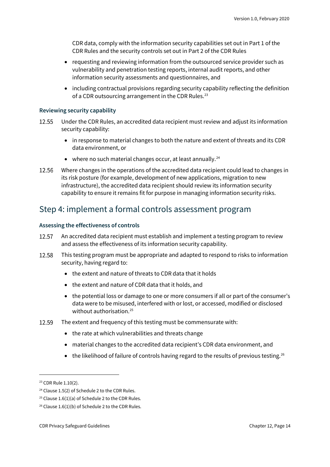CDR data, comply with the information security capabilities set out in Part 1 of the CDR Rules and the security controls set out in Part 2 of the CDR Rules

- requesting and reviewing information from the outsourced service provider such as vulnerability and penetration testing reports, internal audit reports, and other information security assessments and questionnaires, and
- including contractual provisions regarding security capability reflecting the definition of a CDR outsourcing arrangement in the CDR Rules.<sup>[23](#page-13-0)</sup>

#### **Reviewing security capability**

- Under the CDR Rules, an accredited data recipient must review and adjust its information 12.55 security capability:
	- in response to material changes to both the nature and extent of threats and its CDR data environment, or
	- $\bullet$  where no such material changes occur, at least annually.<sup>[24](#page-13-1)</sup>
- 12.56 Where changes in the operations of the accredited data recipient could lead to changes in its risk posture (for example, development of new applications, migration to new infrastructure), the accredited data recipient should review its information security capability to ensure it remains fit for purpose in managing information security risks.

#### Step 4: implement a formal controls assessment program

#### **Assessing the effectiveness of controls**

- 12.57 An accredited data recipient must establish and implement a testing program to review and assess the effectiveness of its information security capability.
- This testing program must be appropriate and adapted to respond to risks to information 12.58 security, having regard to:
	- the extent and nature of threats to CDR data that it holds
	- the extent and nature of CDR data that it holds, and
	- the potential loss or damage to one or more consumers if all or part of the consumer's data were to be misused, interfered with or lost, or accessed, modified or disclosed without authorisation.<sup>[25](#page-13-2)</sup>
- 12.59 The extent and frequency of this testing must be commensurate with:
	- the rate at which vulnerabilities and threats change
	- material changes to the accredited data recipient's CDR data environment, and
	- the likelihood of failure of controls having regard to the results of previous testing.<sup>[26](#page-13-3)</sup>

<span id="page-13-0"></span><sup>&</sup>lt;sup>23</sup> CDR Rule 1.10(2).

<span id="page-13-1"></span><sup>&</sup>lt;sup>24</sup> Clause 1.5(2) of Schedule 2 to the CDR Rules.

<span id="page-13-2"></span><sup>&</sup>lt;sup>25</sup> Clause 1.6(1)(a) of Schedule 2 to the CDR Rules.

<span id="page-13-3"></span><sup>&</sup>lt;sup>26</sup> Clause 1.6(1)(b) of Schedule 2 to the CDR Rules.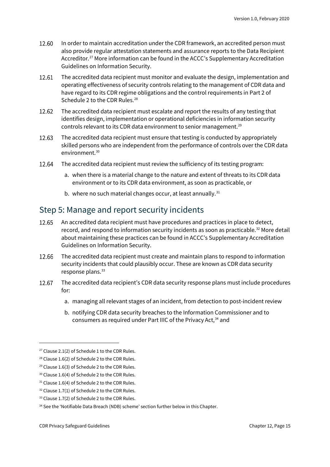- In order to maintain accreditation under the CDR framework, an accredited person must 12.60 also provide regular attestation statements and assurance reports to the Data Recipient Accreditor.[27](#page-14-0) More information can be found in the ACCC's Supplementary Accreditation Guidelines on Information Security.
- 12.61 The accredited data recipient must monitor and evaluate the design, implementation and operating effectiveness of security controls relating to the management of CDR data and have regard to its CDR regime obligations and the control requirements in Part 2 of Schedule 2 to the CDR Rules.<sup>[28](#page-14-1)</sup>
- 12.62 The accredited data recipient must escalate and report the results of any testing that identifies design, implementation or operational deficiencies in information security controls relevant to its CDR data environment to senior management.<sup>[29](#page-14-2)</sup>
- 12.63 The accredited data recipient must ensure that testing is conducted by appropriately skilled persons who are independent from the performance of controls over the CDR data environment.[30](#page-14-3)
- 12.64 The accredited data recipient must review the sufficiency of its testing program:
	- a. when there is a material change to the nature and extent of threats to its CDR data environment or to its CDR data environment, as soon as practicable, or
	- b. where no such material changes occur, at least annually.<sup>[31](#page-14-4)</sup>

#### Step 5: Manage and report security incidents

- 12.65 An accredited data recipient must have procedures and practices in place to detect, record, and respond to information security incidents as soon as practicable.<sup>32</sup> More detail about maintaining these practices can be found in ACCC's Supplementary Accreditation Guidelines on Information Security.
- 12.66 The accredited data recipient must create and maintain plans to respond to information security incidents that could plausibly occur. These are known as CDR data security response plans.<sup>[33](#page-14-6)</sup>
- 12.67 The accredited data recipient's CDR data security response plans must include procedures for:
	- a. managing all relevant stages of an incident, from detection to post-incident review
	- b. notifying CDR data security breaches to the Information Commissioner and to consumers as required under Part IIIC of the Privacy Act,<sup>[34](#page-14-7)</sup> and

<span id="page-14-0"></span> $27$  Clause 2.1(2) of Schedule 1 to the CDR Rules.

<span id="page-14-1"></span><sup>28</sup> Clause 1.6(2) of Schedule 2 to the CDR Rules.

<span id="page-14-2"></span><sup>29</sup> Clause 1.6(3) of Schedule 2 to the CDR Rules.

<span id="page-14-3"></span><sup>&</sup>lt;sup>30</sup> Clause 1.6(4) of Schedule 2 to the CDR Rules.

<span id="page-14-4"></span><sup>&</sup>lt;sup>31</sup> Clause 1.6(4) of Schedule 2 to the CDR Rules.

<span id="page-14-5"></span><sup>&</sup>lt;sup>32</sup> Clause 1.7(1) of Schedule 2 to the CDR Rules.

<span id="page-14-6"></span><sup>&</sup>lt;sup>33</sup> Clause 1.7(2) of Schedule 2 to the CDR Rules.

<span id="page-14-7"></span><sup>&</sup>lt;sup>34</sup> See the 'Notifiable Data Breach (NDB) scheme' section further below in this Chapter.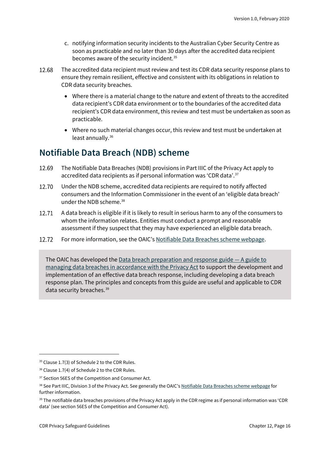- c. notifying information security incidents to the Australian Cyber Security Centre as soon as practicable and no later than 30 days after the accredited data recipient becomes aware of the security incident.<sup>[35](#page-15-1)</sup>
- 12.68 The accredited data recipient must review and test its CDR data security response plans to ensure they remain resilient, effective and consistent with its obligations in relation to CDR data security breaches.
	- Where there is a material change to the nature and extent of threats to the accredited data recipient's CDR data environment or to the boundaries of the accredited data recipient's CDR data environment, this review and test must be undertaken as soon as practicable.
	- Where no such material changes occur, this review and test must be undertaken at least annually. [36](#page-15-2)

### <span id="page-15-0"></span>**Notifiable Data Breach (NDB) scheme**

- 12.69 The Notifiable Data Breaches (NDB) provisions in Part IIIC of the Privacy Act apply to accredited data recipients as if personal information was 'CDR data'. [37](#page-15-3)
- 12.70 Under the NDB scheme, accredited data recipients are required to notify affected consumers and the Information Commissioner in the event of an 'eligible data breach' under the NDB scheme.[38](#page-15-4)
- 12.71 A data breach is eligible if it is likely to result in serious harm to any of the consumers to whom the information relates. Entities must conduct a prompt and reasonable assessment if they suspect that they may have experienced an eligible data breach.
- 12.72 For more information, see the OAIC'[s Notifiable Data Breaches scheme webpage.](https://www.oaic.gov.au/privacy/notifiable-data-breaches/)

The OAIC has developed th[e Data breach preparation and response guide —](https://www.oaic.gov.au/privacy/guidance-and-advice/data-breach-preparation-and-response/) A guide to [managing data breaches in accordance with the Privacy Act](https://www.oaic.gov.au/privacy/guidance-and-advice/data-breach-preparation-and-response/) to support the development and implementation of an effective data breach response, including developing a data breach response plan. The principles and concepts from this guide are useful and applicable to CDR data security breaches.<sup>[39](#page-15-5)</sup>

<span id="page-15-1"></span><sup>&</sup>lt;sup>35</sup> Clause 1.7(3) of Schedule 2 to the CDR Rules.

<span id="page-15-2"></span><sup>&</sup>lt;sup>36</sup> Clause 1.7(4) of Schedule 2 to the CDR Rules.

<span id="page-15-3"></span><sup>&</sup>lt;sup>37</sup> Section 56ES of the Competition and Consumer Act.

<span id="page-15-4"></span><sup>38</sup> See Part IIIC, Division 3 of the Privacy Act. See generally the OAIC'[s Notifiable Data Breaches scheme webpage](https://www.oaic.gov.au/privacy/notifiable-data-breaches/) for further information.

<span id="page-15-5"></span><sup>&</sup>lt;sup>39</sup> The notifiable data breaches provisions of the Privacy Act apply in the CDR regime as if personal information was 'CDR data' (see section 56ES of the Competition and Consumer Act).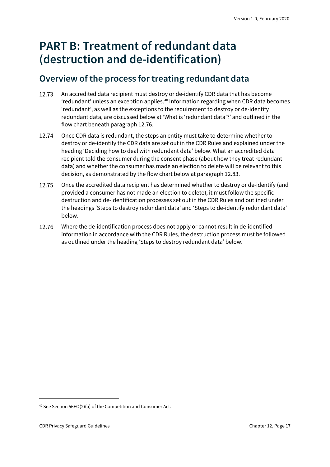## <span id="page-16-0"></span>**PART B: Treatment of redundant data (destruction and de-identification)**

### <span id="page-16-1"></span>**Overview of the process for treating redundant data**

- 12.73 An accredited data recipient must destroy or de-identify CDR data that has become 'redundant' unless an exception applies. [40](#page-16-2) Information regarding when CDR data becomes 'redundant', as well as the exceptions to the requirement to destroy or de-identify redundant data, are discussed below at 'What is 'redundant data'?' and outlined in the flow chart beneath paragraph 12.76.
- 12.74 Once CDR data is redundant, the steps an entity must take to determine whether to destroy or de-identify the CDR data are set out in the CDR Rules and explained under the heading 'Deciding how to deal with redundant data' below. What an accredited data recipient told the consumer during the consent phase (about how they treat redundant data) and whether the consumer has made an election to delete will be relevant to this decision, as demonstrated by the flow chart below at paragraph 12.83.
- 12.75 Once the accredited data recipient has determined whether to destroy or de-identify (and provided a consumer has not made an election to delete), it must follow the specific destruction and de-identification processes set out in the CDR Rules and outlined under the headings 'Steps to destroy redundant data' and 'Steps to de-identify redundant data' below.
- 12.76 Where the de-identification process does not apply or cannot result in de-identified information in accordance with the CDR Rules, the destruction process must be followed as outlined under the heading 'Steps to destroy redundant data' below.

<span id="page-16-2"></span><sup>40</sup> See Section 56EO(2)(a) of the Competition and Consumer Act.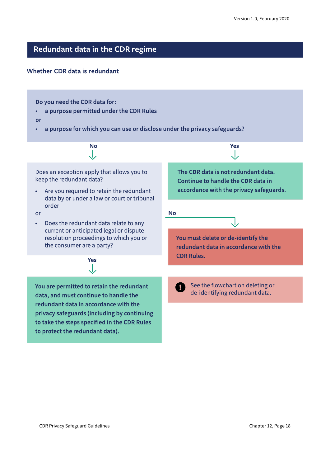### Redundant data in the CDR regime

#### Whether CDR data is redundant

Do you need the CDR data for:

a purpose permitted under the CDR Rules  $\bullet$ 

or

a purpose for which you can use or disclose under the privacy safeguards?  $\bullet$ 

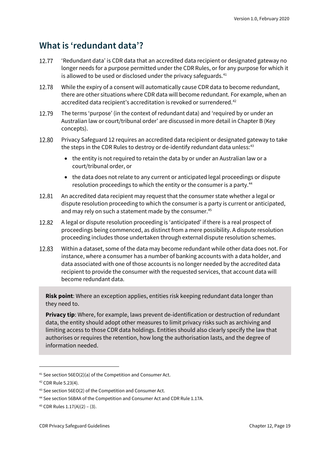### <span id="page-18-0"></span>**What is 'redundant data'?**

- 12.77 'Redundant data' is CDR data that an accredited data recipient or designated gateway no longer needs for a purpose permitted under the CDR Rules, or for any purpose for which it is allowed to be used or disclosed under the privacy safeguards.<sup>[41](#page-18-1)</sup>
- 12.78 While the expiry of a consent will automatically cause CDR data to become redundant, there are other situations where CDR data will become redundant. For example, when an accredited data recipient's accreditation is revoked or surrendered.<sup>[42](#page-18-2)</sup>
- 12.79 The terms 'purpose' (in the context of redundant data) and 'required by or under an Australian law or court/tribunal order' are discussed in more detail in Chapter B (Key concepts).
- 12.80 Privacy Safeguard 12 requires an accredited data recipient or designated gateway to take the steps in the CDR Rules to destroy or de-identify redundant data unless:<sup>[43](#page-18-3)</sup>
	- the entity is not required to retain the data by or under an Australian law or a court/tribunal order, or
	- the data does not relate to any current or anticipated legal proceedings or dispute resolution proceedings to which the entity or the consumer is a party.<sup>[44](#page-18-4)</sup>
- An accredited data recipient may request that the consumer state whether a legal or 12.81 dispute resolution proceeding to which the consumer is a party is current or anticipated, and may rely on such a statement made by the consumer.<sup>[45](#page-18-5)</sup>
- 12.82 A legal or dispute resolution proceeding is 'anticipated' if there is a real prospect of proceedings being commenced, as distinct from a mere possibility. A dispute resolution proceeding includes those undertaken through external dispute resolution schemes.
- 12.83 Within a dataset, some of the data may become redundant while other data does not. For instance, where a consumer has a number of banking accounts with a data holder, and data associated with one of those accounts is no longer needed by the accredited data recipient to provide the consumer with the requested services, that account data will become redundant data.

**Risk point**: Where an exception applies, entities risk keeping redundant data longer than they need to.

**Privacy tip**: Where, for example, laws prevent de-identification or destruction of redundant data, the entity should adopt other measures to limit privacy risks such as archiving and limiting access to those CDR data holdings. Entities should also clearly specify the law that authorises or requires the retention, how long the authorisation lasts, and the degree of information needed.

<span id="page-18-1"></span><sup>41</sup> See section 56EO(2)(a) of the Competition and Consumer Act.

<span id="page-18-2"></span><sup>42</sup> CDR Rule 5.23(4).

<span id="page-18-3"></span><sup>43</sup> See section 56EO(2) of the Competition and Consumer Act.

<span id="page-18-4"></span><sup>44</sup> See section 56BAA of the Competition and Consumer Act and CDR Rule 1.17A.

<span id="page-18-5"></span><sup>45</sup> CDR Rules 1.17(A)(2) – (3).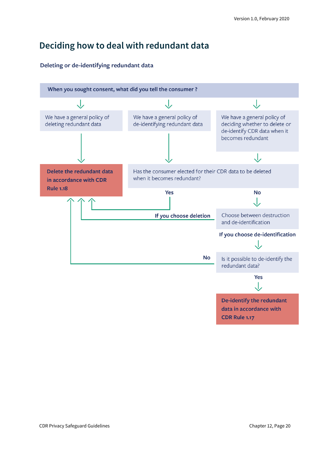### <span id="page-19-0"></span>**Deciding how to deal with redundant data**

#### Deleting or de-identifying redundant data

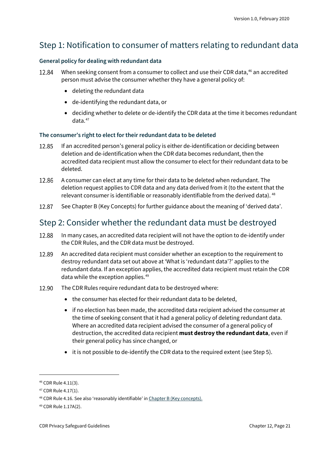### Step 1: Notification to consumer of matters relating to redundant data

#### **General policy for dealing with redundant data**

- 12.84 When seeking consent from a consumer to collect and use their CDR data,<sup>[46](#page-20-0)</sup> an accredited person must advise the consumer whether they have a general policy of:
	- deleting the redundant data
	- de-identifying the redundant data, or
	- deciding whether to delete or de-identify the CDR data at the time it becomes redundant data.[47](#page-20-1)

#### **The consumer's right to elect for their redundant data to be deleted**

- If an accredited person's general policy is either de-identification or deciding between 12.85 deletion and de-identification when the CDR data becomes redundant, then the accredited data recipient must allow the consumer to elect for their redundant data to be deleted.
- 12.86 A consumer can elect at any time for their data to be deleted when redundant. The deletion request applies to CDR data and any data derived from it (to the extent that the relevant consumer is identifiable or reasonably identifiable from the derived data). <sup>[48](#page-20-2)</sup>
- See Chapter B (Key Concepts) for further guidance about the meaning of 'derived data'. 12.87

### Step 2: Consider whether the redundant data must be destroyed

- 12.88 In many cases, an accredited data recipient will not have the option to de-identify under the CDR Rules, and the CDR data must be destroyed.
- 12.89 An accredited data recipient must consider whether an exception to the requirement to destroy redundant data set out above at 'What is 'redundant data'?' applies to the redundant data. If an exception applies, the accredited data recipient must retain the CDR data while the exception applies.<sup>[49](#page-20-3)</sup>
- 12.90 The CDR Rules require redundant data to be destroyed where:
	- the consumer has elected for their redundant data to be deleted,
	- if no election has been made, the accredited data recipient advised the consumer at the time of seeking consent that it had a general policy of deleting redundant data. Where an accredited data recipient advised the consumer of a general policy of destruction, the accredited data recipient **must destroy the redundant data**, even if their general policy has since changed, or
	- it is not possible to de-identify the CDR data to the required extent (see Step 5).

<span id="page-20-0"></span><sup>46</sup> CDR Rule 4.11(3).

<span id="page-20-1"></span><sup>47</sup> CDR Rule 4.17(1).

<span id="page-20-2"></span><sup>48</sup> CDR Rule 4.16. See also 'reasonably identifiable' i[n Chapter B \(Key concepts\).](https://www.oaic.gov.au/consumer-data-right/cdr-privacy-safeguard-guidelines/chapter-b-key-concepts)

<span id="page-20-3"></span><sup>49</sup> CDR Rule 1.17A(2).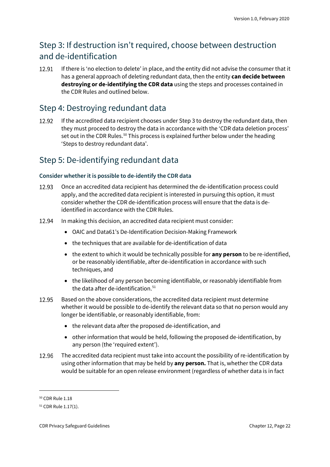### Step 3: If destruction isn't required, choose between destruction and de-identification

12.91 If there is 'no election to delete' in place, and the entity did not advise the consumer that it has a general approach of deleting redundant data, then the entity **can decide between destroying or de-identifying the CDR data** using the steps and processes contained in the CDR Rules and outlined below.

### Step 4: Destroying redundant data

12.92 If the accredited data recipient chooses under Step 3 to destroy the redundant data, then they must proceed to destroy the data in accordance with the 'CDR data deletion process' set out in the CDR Rules.<sup>[50](#page-21-0)</sup> This process is explained further below under the heading 'Steps to destroy redundant data'.

### Step 5: De-identifying redundant data

#### **Consider whether it is possible to de-identify the CDR data**

- Once an accredited data recipient has determined the de-identification process could 12.93 apply, and the accredited data recipient is interested in pursuing this option, it must consider whether the CDR de-identification process will ensure that the data is deidentified in accordance with the CDR Rules.
- 12.94 In making this decision, an accredited data recipient must consider:
	- OAIC and Data61's De-Identification Decision-Making Framework
	- the techniques that are available for de-identification of data
	- the extent to which it would be technically possible for **any person** to be re-identified, or be reasonably identifiable, after de-identification in accordance with such techniques, and
	- the likelihood of any person becoming identifiable, or reasonably identifiable from the data after de-identification.<sup>[51](#page-21-1)</sup>
- 12.95 Based on the above considerations, the accredited data recipient must determine whether it would be possible to de-identify the relevant data so that no person would any longer be identifiable, or reasonably identifiable, from:
	- the relevant data after the proposed de-identification, and
	- other information that would be held, following the proposed de-identification, by any person (the 'required extent').
- 12.96 The accredited data recipient must take into account the possibility of re-identification by using other information that may be held by **any person.** That is, whether the CDR data would be suitable for an open release environment (regardless of whether data is in fact

<span id="page-21-0"></span><sup>50</sup> CDR Rule 1.18

<span id="page-21-1"></span><sup>51</sup> CDR Rule 1.17(1).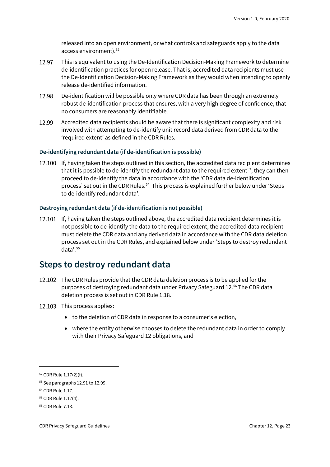released into an open environment, or what controls and safeguards apply to the data access environment).<sup>[52](#page-22-1)</sup>

- 12.97 This is equivalent to using the De-Identification Decision-Making Framework to determine de-identification practices for open release. That is, accredited data recipients must use the De-Identification Decision-Making Framework as they would when intending to openly release de-identified information.
- 12.98 De-identification will be possible only where CDR data has been through an extremely robust de-identification process that ensures, with a very high degree of confidence, that no consumers are reasonably identifiable.
- 12.99 Accredited data recipients should be aware that there is significant complexity and risk involved with attempting to de-identify unit record data derived from CDR data to the 'required extent' as defined in the CDR Rules.

#### **De-identifying redundant data (if de-identification is possible)**

12.100 If, having taken the steps outlined in this section, the accredited data recipient determines that it is possible to de-identify the redundant data to the required extent<sup>[53](#page-22-2)</sup>, they can then proceed to de-identify the data in accordance with the 'CDR data de-identification process' set out in the CDR Rules.<sup>54</sup> This process is explained further below under 'Steps to de-identify redundant data'.

#### **Destroying redundant data (if de-identification is not possible)**

12.101 If, having taken the steps outlined above, the accredited data recipient determines it is not possible to de-identify the data to the required extent, the accredited data recipient must delete the CDR data and any derived data in accordance with the CDR data deletion process set out in the CDR Rules, and explained below under 'Steps to destroy redundant data'.[55](#page-22-4)

#### <span id="page-22-0"></span>**Steps to destroy redundant data**

- 12.102 The CDR Rules provide that the CDR data deletion process is to be applied for the purposes of destroying redundant data under Privacy Safeguard 12. [56](#page-22-5) The CDR data deletion process is set out in CDR Rule 1.18.
- 12.103 This process applies:
	- to the deletion of CDR data in response to a consumer's election,
	- where the entity otherwise chooses to delete the redundant data in order to comply with their Privacy Safeguard 12 obligations, and

<span id="page-22-1"></span><sup>52</sup> CDR Rule 1.17(2)(f).

<span id="page-22-2"></span><sup>53</sup> See paragraphs 12.91 to 12.99.

<span id="page-22-3"></span><sup>54</sup> CDR Rule 1.17.

<span id="page-22-4"></span><sup>55</sup> CDR Rule 1.17(4).

<span id="page-22-5"></span><sup>56</sup> CDR Rule 7.13.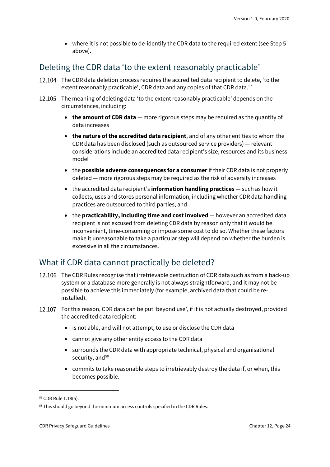• where it is not possible to de-identify the CDR data to the required extent (see Step 5 above).

### Deleting the CDR data 'to the extent reasonably practicable'

- 12.104 The CDR data deletion process requires the accredited data recipient to delete, 'to the extent reasonably practicable', CDR data and any copies of that CDR data.<sup>[57](#page-23-0)</sup>
- 12.105 The meaning of deleting data 'to the extent reasonably practicable' depends on the circumstances, including:
	- **the amount of CDR data** more rigorous steps may be required as the quantity of data increases
	- **the nature of the accredited data recipient**, and of any other entities to whom the CDR data has been disclosed (such as outsourced service providers) — relevant considerations include an accredited data recipient's size, resources and its business model
	- the **possible adverse consequences for a consumer**if their CDR data is not properly deleted — more rigorous steps may be required as the risk of adversity increases
	- the accredited data recipient's **information handling practices** such as how it collects, uses and stores personal information, including whether CDR data handling practices are outsourced to third parties, and
	- the **practicability, including time and cost involved** however an accredited data recipient is not excused from deleting CDR data by reason only that it would be inconvenient, time-consuming or impose some cost to do so. Whether these factors make it unreasonable to take a particular step will depend on whether the burden is excessive in all the circumstances.

### What if CDR data cannot practically be deleted?

- 12.106 The CDR Rules recognise that irretrievable destruction of CDR data such as from a back-up system or a database more generally is not always straightforward, and it may not be possible to achieve this immediately (for example, archived data that could be reinstalled).
- 12.107 For this reason, CDR data can be put 'beyond use', if it is not actually destroyed, provided the accredited data recipient:
	- is not able, and will not attempt, to use or disclose the CDR data
	- cannot give any other entity access to the CDR data
	- surrounds the CDR data with appropriate technical, physical and organisational security, and<sup>[58](#page-23-1)</sup>
	- commits to take reasonable steps to irretrievably destroy the data if, or when, this becomes possible.

<span id="page-23-0"></span><sup>57</sup> CDR Rule 1.18(a).

<span id="page-23-1"></span><sup>&</sup>lt;sup>58</sup> This should go beyond the minimum access controls specified in the CDR Rules.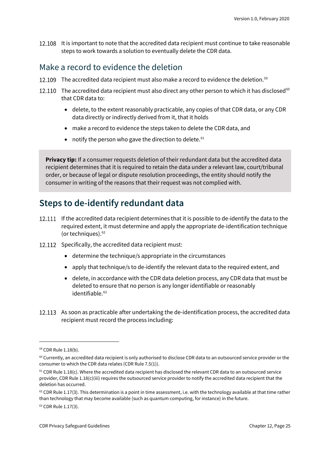12.108 It is important to note that the accredited data recipient must continue to take reasonable steps to work towards a solution to eventually delete the CDR data.

### Make a record to evidence the deletion

- 12.109 The accredited data recipient must also make a record to evidence the deletion.<sup>[59](#page-24-1)</sup>
- 12.110 The accredited data recipient must also direct any other person to which it has disclosed<sup>[60](#page-24-2)</sup> that CDR data to:
	- delete, to the extent reasonably practicable, any copies of that CDR data, or any CDR data directly or indirectly derived from it, that it holds
	- make a record to evidence the steps taken to delete the CDR data, and
	- notify the person who gave the direction to delete.<sup>[61](#page-24-3)</sup>

**Privacy tip:** If a consumer requests deletion of their redundant data but the accredited data recipient determines that it is required to retain the data under a relevant law, court/tribunal order, or because of legal or dispute resolution proceedings, the entity should notify the consumer in writing of the reasons that their request was not complied with.

### <span id="page-24-0"></span>**Steps to de-identify redundant data**

- 12.111 If the accredited data recipient determines that it is possible to de-identify the data to the required extent, it must determine and apply the appropriate de-identification technique (or techniques). [62](#page-24-4)
- 12.112 Specifically, the accredited data recipient must:
	- determine the technique/s appropriate in the circumstances
	- apply that technique/s to de-identify the relevant data to the required extent, and
	- delete, in accordance with the CDR data deletion process, any CDR data that must be deleted to ensure that no person is any longer identifiable or reasonably  $identifiable.<sup>63</sup>$  $identifiable.<sup>63</sup>$  $identifiable.<sup>63</sup>$
- 12.113 As soon as practicable after undertaking the de-identification process, the accredited data recipient must record the process including:

<span id="page-24-1"></span><sup>59</sup> CDR Rule 1.18(b).

<span id="page-24-2"></span><sup>&</sup>lt;sup>60</sup> Currently, an accredited data recipient is only authorised to disclose CDR data to an outsourced service provider or the consumer to which the CDR data relates (CDR Rule 7.5(1)).

<span id="page-24-3"></span> $61$  CDR Rule 1.18(c). Where the accredited data recipient has disclosed the relevant CDR data to an outsourced service provider, CDR Rule 1.18(c)(iii) requires the outsourced service provider to notify the accredited data recipient that the deletion has occurred.

<span id="page-24-4"></span> $62$  CDR Rule 1.17(3). This determination is a point in time assessment, i.e. with the technology available at that time rather than technology that may become available (such as quantum computing, for instance) in the future.

<span id="page-24-5"></span><sup>63</sup> CDR Rule 1.17(3).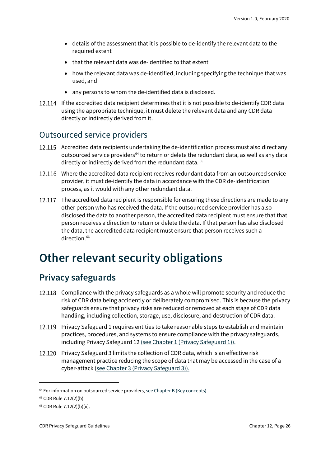- details of the assessment that it is possible to de-identify the relevant data to the required extent
- that the relevant data was de-identified to that extent
- how the relevant data was de-identified, including specifying the technique that was used, and
- any persons to whom the de-identified data is disclosed.
- 12.114 If the accredited data recipient determines that it is not possible to de-identify CDR data using the appropriate technique, it must delete the relevant data and any CDR data directly or indirectly derived from it.

#### Outsourced service providers

- 12.115 Accredited data recipients undertaking the de-identification process must also direct any outsourced service providers<sup>[64](#page-25-2)</sup> to return or delete the redundant data, as well as any data directly or indirectly derived from the redundant data. [65](#page-25-3)
- Where the accredited data recipient receives redundant data from an outsourced service provider, it must de-identify the data in accordance with the CDR de-identification process, as it would with any other redundant data.
- 12.117 The accredited data recipient is responsible for ensuring these directions are made to any other person who has received the data. If the outsourced service provider has also disclosed the data to another person, the accredited data recipient must ensure that that person receives a direction to return or delete the data. If that person has also disclosed the data, the accredited data recipient must ensure that person receives such a direction. [66](#page-25-4)

## <span id="page-25-0"></span>**Other relevant security obligations**

### <span id="page-25-1"></span>**Privacy safeguards**

- 12.118 Compliance with the privacy safeguards as a whole will promote security and reduce the risk of CDR data being accidently or deliberately compromised. This is because the privacy safeguards ensure that privacy risks are reduced or removed at each stage of CDR data handling, including collection, storage, use, disclosure, and destruction of CDR data.
- 12.119 Privacy Safeguard 1 requires entities to take reasonable steps to establish and maintain practices, procedures, and systems to ensure compliance with the privacy safeguards, including Privacy Safeguard 12 [\(see Chapter 1 \(Privacy Safeguard 1\)\).](https://www.oaic.gov.au/consumer-data-right/cdr-privacy-safeguard-guidelines/chapter-1-privacy-safeguard-1-open-and-transparent-management-of-cdr-data)
- 12.120 Privacy Safeguard 3 limits the collection of CDR data, which is an effective risk management practice reducing the scope of data that may be accessed in the case of a cyber-attack [\(see Chapter 3 \(Privacy Safeguard 3\)\).](https://www.oaic.gov.au/consumer-data-right/cdr-privacy-safeguard-guidelines/chapter-3-privacy-safeguard-3-seeking-to-collect-cdr-data-from-cdr-participants)

<span id="page-25-2"></span><sup>&</sup>lt;sup>64</sup> For information on outsourced service providers[, see Chapter B \(Key concepts\).](https://www.oaic.gov.au/consumer-data-right/cdr-privacy-safeguard-guidelines/chapter-b-key-concepts)

<span id="page-25-3"></span><sup>65</sup> CDR Rule 7.12(2)(b).

<span id="page-25-4"></span><sup>66</sup> CDR Rule 7.12(2)(b)(ii).